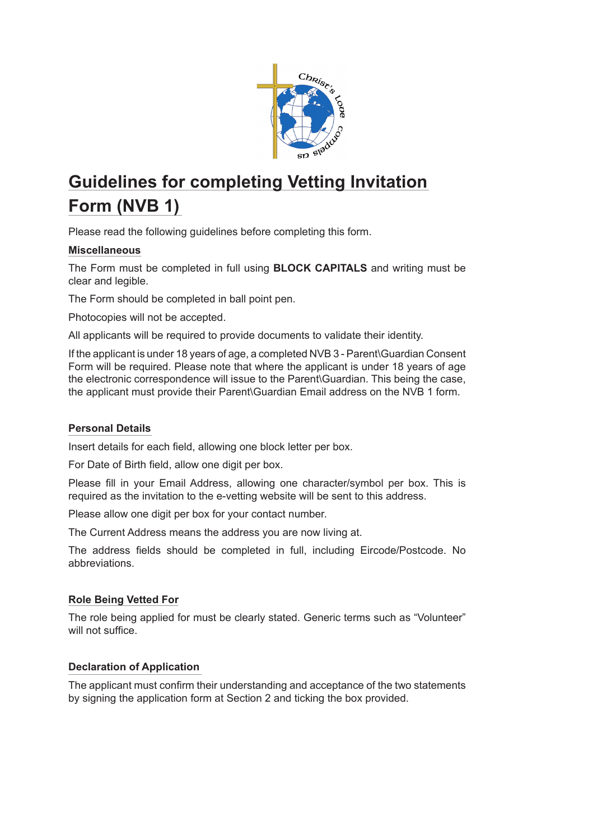

# **Guidelines for completing Vetting Invitation Form (NVB 1)**

Please read the following guidelines before completing this form.

## **Miscellaneous**

The Form must be completed in full using **BLOCK CAPITALS** and writing must be clear and legible.

The Form should be completed in ball point pen.

Photocopies will not be accepted.

All applicants will be required to provide documents to validate their identity.

If the applicant is under 18 years of age, a completed NVB 3 - Parent\Guardian Consent Form will be required. Please note that where the applicant is under 18 years of age the electronic correspondence will issue to the Parent\Guardian. This being the case, the applicant must provide their Parent\Guardian Email address on the NVB 1 form.

### **Personal Details**

Insert details for each field, allowing one block letter per box.

For Date of Birth field, allow one digit per box.

Please fill in your Email Address, allowing one character/symbol per box. This is required as the invitation to the e-vetting website will be sent to this address.

Please allow one digit per box for your contact number.

The Current Address means the address you are now living at.

The address fields should be completed in full, including Eircode/Postcode. No abbreviations.

### **Role Being Vetted For**

The role being applied for must be clearly stated. Generic terms such as "Volunteer" will not suffice.

### **Declaration of Application**

The applicant must confirm their understanding and acceptance of the two statements by signing the application form at Section 2 and ticking the box provided.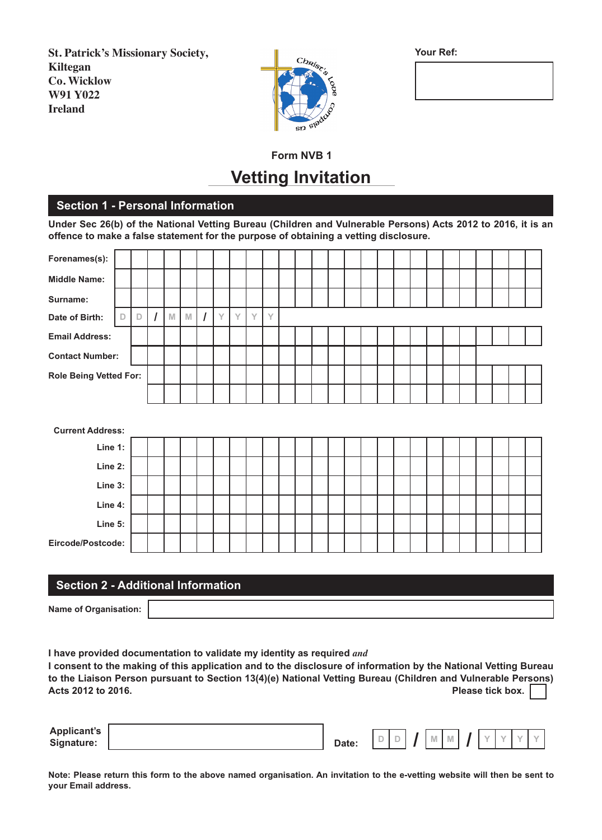**St. Patrick's Missionary Society, Kiltegan Co. Wicklow W91 Y022 Ireland**



**Your Ref:**

# **Form NVB 1 Vetting Invitation**

### **Section 1 - Personal Information**

**Under Sec 26(b) of the National Vetting Bureau (Children and Vulnerable Persons) Acts 2012 to 2016, it is an offence to make a false statement for the purpose of obtaining a vetting disclosure.**

| Forenames(s):                 |             |   |   |              |             |                |   |   |   |   |  |  |  |  |  |  |  |  |  |  |
|-------------------------------|-------------|---|---|--------------|-------------|----------------|---|---|---|---|--|--|--|--|--|--|--|--|--|--|
| <b>Middle Name:</b>           |             |   |   |              |             |                |   |   |   |   |  |  |  |  |  |  |  |  |  |  |
| Surname:                      |             |   |   |              |             |                |   |   |   |   |  |  |  |  |  |  |  |  |  |  |
| Date of Birth:                | $\mathbb D$ | D | I | $\mathbb{M}$ | $\mathbb N$ | $\overline{I}$ | Y | Y | Y | Y |  |  |  |  |  |  |  |  |  |  |
| <b>Email Address:</b>         |             |   |   |              |             |                |   |   |   |   |  |  |  |  |  |  |  |  |  |  |
| <b>Contact Number:</b>        |             |   |   |              |             |                |   |   |   |   |  |  |  |  |  |  |  |  |  |  |
| <b>Role Being Vetted For:</b> |             |   |   |              |             |                |   |   |   |   |  |  |  |  |  |  |  |  |  |  |
|                               |             |   |   |              |             |                |   |   |   |   |  |  |  |  |  |  |  |  |  |  |
|                               |             |   |   |              |             |                |   |   |   |   |  |  |  |  |  |  |  |  |  |  |
|                               |             |   |   |              |             |                |   |   |   |   |  |  |  |  |  |  |  |  |  |  |
| <b>Current Address:</b>       |             |   |   |              |             |                |   |   |   |   |  |  |  |  |  |  |  |  |  |  |
| Line 1:                       |             |   |   |              |             |                |   |   |   |   |  |  |  |  |  |  |  |  |  |  |
| Line 2:                       |             |   |   |              |             |                |   |   |   |   |  |  |  |  |  |  |  |  |  |  |
| Line 3:                       |             |   |   |              |             |                |   |   |   |   |  |  |  |  |  |  |  |  |  |  |
| Line 4:                       |             |   |   |              |             |                |   |   |   |   |  |  |  |  |  |  |  |  |  |  |
| Line 5:                       |             |   |   |              |             |                |   |   |   |   |  |  |  |  |  |  |  |  |  |  |
| Eircode/Postcode:             |             |   |   |              |             |                |   |   |   |   |  |  |  |  |  |  |  |  |  |  |

### **Section 2 - Additional Information**

**Name of Organisation:**

**I have provided documentation to validate my identity as required** *and* **I consent to the making of this application and to the disclosure of information by the National Vetting Bureau to the Liaison Person pursuant to Section 13(4)(e) National Vetting Bureau (Children and Vulnerable Persons) Acts 2012 to 2016. Please tick box.** 

| <b>Applicant's</b> |                                  |        |        |  |  |  |  |
|--------------------|----------------------------------|--------|--------|--|--|--|--|
| Signature:         | $\sim$<br>$\bm{\mathsf{Date}}$ : | $\sim$ | $\sim$ |  |  |  |  |
|                    |                                  |        |        |  |  |  |  |

**Note: Please return this form to the above named organisation. An invitation to the e-vetting website will then be sent to your Email address.**